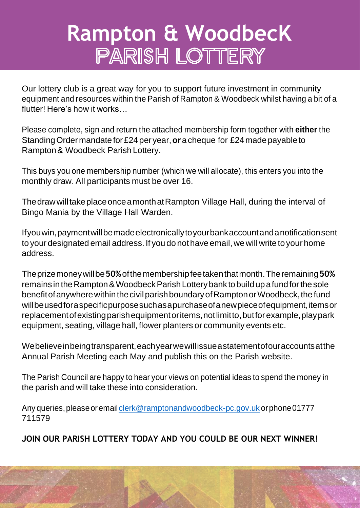# **Rampton & WoodbecK** PARISH LOTTERY

Our lottery club is a great way for you to support future investment in community equipment and resources within the Parish of Rampton & Woodbeck whilst having a bit of a flutter! Here's how it works…

Please complete, sign and return the attached membership form together with **either** the StandingOrdermandatefor£24per year,**or**a cheque for £24madepayableto Rampton& Woodbeck Parish Lottery.

This buys you one membership number (which we will allocate), this enters you into the monthly draw. All participants must be over 16.

ThedrawwilltakeplaceonceamonthatRampton Village Hall, during the interval of Bingo Mania by the Village Hall Warden.

Ifyouwin,paymentwillbemadeelectronicallytoyourbankaccountandanotificationsent to your designated email address. If you do not have email, we will write to your home address.

Theprizemoneywillbe**50%**ofthemembershipfeetakenthatmonth.Theremaining**50%**  remains in the Rampton & Woodbeck Parish Lottery bank to build up a fund for the sole benefit of anywhere within the civil parish boundary of Rampton or Woodbeck, the fund willbeusedforaspecificpurposesuchasapurchaseofanewpieceofequipment,itemsor replacementofexistingparishequipmentoritems,notlimitto,butforexample,playpark equipment, seating, village hall, flower planters or community events etc.

Webelieveinbeingtransparent,eachyearwewillissueastatementofouraccountsatthe Annual Parish Meeting each May and publish this on the Parish website.

The Parish Council are happy to hear your views on potential ideas to spend the money in the parish and will take these into consideration.

Any queries, please or email clerk@ramptonandwoodbeck-pc.gov.uk or phone 01777 711579

**JOIN OUR PARISH LOTTERY TODAY AND YOU COULD BE OUR NEXT WINNER!**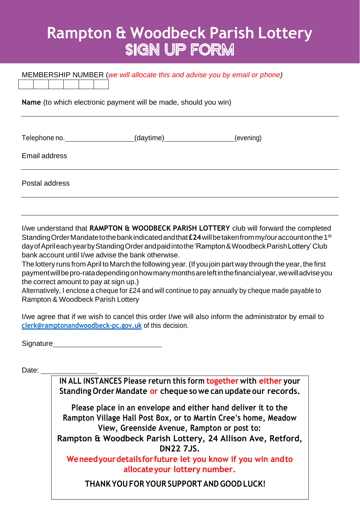## **Rampton & Woodbeck Parish Lottery SIGN UP FORM**

| MEMBERSHIP NUMBER (we will allocate this and advise you by email or phone) |                          |           |  |  |
|----------------------------------------------------------------------------|--------------------------|-----------|--|--|
| Name (to which electronic payment will be made, should you win)            |                          |           |  |  |
| Telephone no.                                                              | (daytime)_______________ | (evening) |  |  |
| Email address                                                              |                          |           |  |  |
| Postal address                                                             |                          |           |  |  |

I/we understand that **RAMPTON & WOODBECK PARISH LOTTERY** club will forward the completed Standing Order Mandate to the bank indicated and that £24 will be taken from my/our account on the 1st day of Aprileach year by Standing Order and paid into the 'Rampton & Woodbeck Parish Lottery' Club bank account until I/we advise the bank otherwise.

The lottery runs from April to March the following year.(If you join part way through the year, the first paymentwillbepro-ratadependingonhowmanymonthsareleftinthefinancialyear,wewilladviseyou the correct amount to pay at sign up.)

Alternatively, I enclose a cheque for £24 and will continue to pay annually by cheque made payable to Rampton & Woodbeck Parish Lottery

I/we agree that if we wish to cancel this order I/we will also inform the administrator by email to **[clerk@ramptonandwoodbeck-pc.gov.uk](mailto:clerk@ramptonandwoodbeck-pc.gov.uk)** of this decision.

**Signature** 

Date:

**IN ALL INSTANCES Please return this form together with either your Standing Order Mandate or cheque so we can update our records.**

**Please place in an envelope and either hand deliver it to the Rampton Village Hall Post Box, or to Martin Cree's home, Meadow View, Greenside Avenue, Rampton or post to:**

**Rampton & Woodbeck Parish Lottery, 24 Allison Ave, Retford, DN22 7JS.**

**Weneedyourdetails forfuture let you know if you win andto allocateyour lottery number.**

**THANKYOUFOR YOUR SUPPORT ANDGOODLUCK!**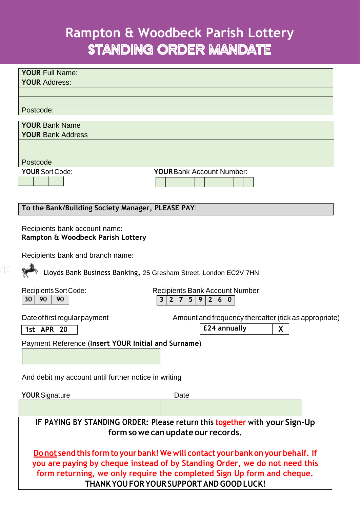### **Rampton & Woodbeck Parish Lottery** STANDING ORDER MANDATE

| <b>YOUR Full Name:</b><br><b>YOUR Address:</b>                                                                                                                                                                                                                                        |                                                                            |  |  |
|---------------------------------------------------------------------------------------------------------------------------------------------------------------------------------------------------------------------------------------------------------------------------------------|----------------------------------------------------------------------------|--|--|
| Postcode:                                                                                                                                                                                                                                                                             |                                                                            |  |  |
| <b>YOUR Bank Name</b><br><b>YOUR Bank Address</b>                                                                                                                                                                                                                                     |                                                                            |  |  |
| Postcode<br><b>YOUR Sort Code:</b>                                                                                                                                                                                                                                                    | <b>YOURBank Account Number:</b>                                            |  |  |
| To the Bank/Building Society Manager, PLEASE PAY:                                                                                                                                                                                                                                     |                                                                            |  |  |
| Recipients bank account name:<br>Rampton & Woodbeck Parish Lottery                                                                                                                                                                                                                    |                                                                            |  |  |
| Recipients bank and branch name:<br>Lloyds Bank Business Banking, 25 Gresham Street, London EC2V 7HN                                                                                                                                                                                  |                                                                            |  |  |
| <b>Recipients Sort Code:</b><br><b>Recipients Bank Account Number:</b><br>90<br>30<br>90<br>$\mathbf{3}$<br>5 <sup>5</sup><br>$\mathbf{2}$<br>9<br>$\mathbf{2}$<br>6 <sup>1</sup><br>7<br>$\bf{0}$                                                                                    |                                                                            |  |  |
| Date of first regular payment<br>$1st$ APR<br>20                                                                                                                                                                                                                                      | Amount and frequency thereafter (tick as appropriate)<br>£24 annually<br>X |  |  |
| Payment Reference (Insert YOUR Initial and Surname)                                                                                                                                                                                                                                   |                                                                            |  |  |
| And debit my account until further notice in writing                                                                                                                                                                                                                                  |                                                                            |  |  |
| <b>YOUR Signature</b>                                                                                                                                                                                                                                                                 | Date                                                                       |  |  |
|                                                                                                                                                                                                                                                                                       |                                                                            |  |  |
| IF PAYING BY STANDING ORDER: Please return this together with your Sign-Up<br>form so we can update our records.                                                                                                                                                                      |                                                                            |  |  |
| Do not send this form to your bank! We will contact your bank on your behalf. If<br>you are paying by cheque instead of by Standing Order, we do not need this<br>form returning, we only require the completed Sign Up form and cheque.<br>THANK YOU FOR YOUR SUPPORT AND GOOD LUCK! |                                                                            |  |  |